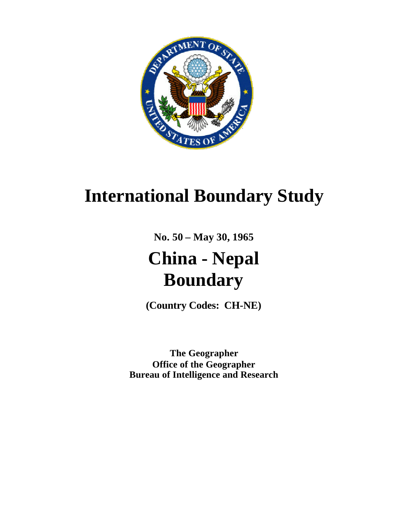

# **International Boundary Study**

**No. 50 – May 30, 1965**

# **China - Nepal Boundary**

**(Country Codes: CH-NE)**

**The Geographer Office of the Geographer Bureau of Intelligence and Research**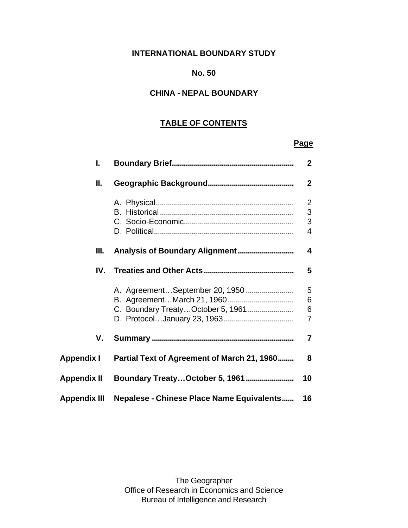# **INTERNATIONAL BOUNDARY STUDY**

#### **No. 50**

# **CHINA - NEPAL BOUNDARY**

# **TABLE OF CONTENTS**

### **Page**

| I.                  |                                                  | $\mathbf{2}$                  |
|---------------------|--------------------------------------------------|-------------------------------|
| II.                 |                                                  | $\mathbf{2}$                  |
|                     |                                                  | $\overline{2}$<br>3<br>3<br>4 |
| Ш.                  |                                                  | 4                             |
| IV.                 |                                                  | 5                             |
|                     | C. Boundary Treaty October 5, 1961               | 5<br>6<br>6<br>$\overline{7}$ |
| V.                  |                                                  | 7                             |
| <b>Appendix I</b>   | Partial Text of Agreement of March 21, 1960      | 8                             |
| <b>Appendix II</b>  |                                                  | 10                            |
| <b>Appendix III</b> | <b>Nepalese - Chinese Place Name Equivalents</b> | 16                            |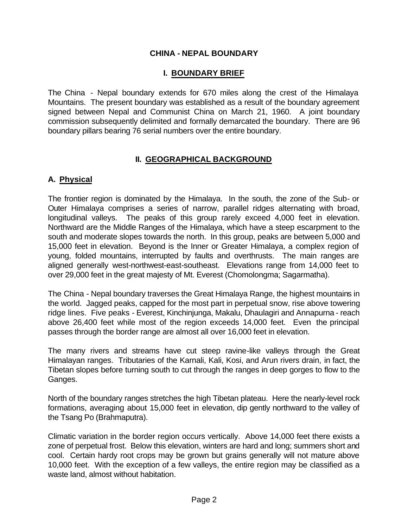#### **CHINA - NEPAL BOUNDARY**

#### **I. BOUNDARY BRIEF**

The China - Nepal boundary extends for 670 miles along the crest of the Himalaya Mountains. The present boundary was established as a result of the boundary agreement signed between Nepal and Communist China on March 21, 1960. A joint boundary commission subsequently delimited and formally demarcated the boundary. There are 96 boundary pillars bearing 76 serial numbers over the entire boundary.

#### **II. GEOGRAPHICAL BACKGROUND**

#### **A. Physical**

The frontier region is dominated by the Himalaya. In the south, the zone of the Sub- or Outer Himalaya comprises a series of narrow, parallel ridges alternating with broad, longitudinal valleys. The peaks of this group rarely exceed 4,000 feet in elevation. Northward are the Middle Ranges of the Himalaya, which have a steep escarpment to the south and moderate slopes towards the north. In this group, peaks are between 5,000 and 15,000 feet in elevation. Beyond is the Inner or Greater Himalaya, a complex region of young, folded mountains, interrupted by faults and overthrusts. The main ranges are aligned generally west-northwest-east-southeast. Elevations range from 14,000 feet to over 29,000 feet in the great majesty of Mt. Everest (Chomolongma; Sagarmatha).

The China - Nepal boundary traverses the Great Himalaya Range, the highest mountains in the world. Jagged peaks, capped for the most part in perpetual snow, rise above towering ridge lines. Five peaks - Everest, Kinchinjunga, Makalu, Dhaulagiri and Annapurna - reach above 26,400 feet while most of the region exceeds 14,000 feet. Even the principal passes through the border range are almost all over 16,000 feet in elevation.

The many rivers and streams have cut steep ravine-like valleys through the Great Himalayan ranges. Tributaries of the Karnali, Kali, Kosi, and Arun rivers drain, in fact, the Tibetan slopes before turning south to cut through the ranges in deep gorges to flow to the Ganges.

North of the boundary ranges stretches the high Tibetan plateau. Here the nearly-level rock formations, averaging about 15,000 feet in elevation, dip gently northward to the valley of the Tsang Po (Brahmaputra).

Climatic variation in the border region occurs vertically. Above 14,000 feet there exists a zone of perpetual frost. Below this elevation, winters are hard and long; summers short and cool. Certain hardy root crops may be grown but grains generally will not mature above 10,000 feet. With the exception of a few valleys, the entire region may be classified as a waste land, almost without habitation.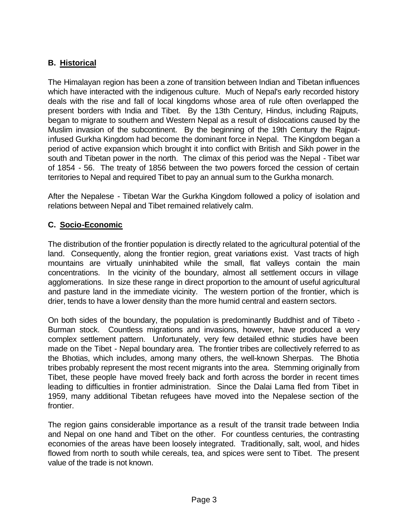### **B. Historical**

The Himalayan region has been a zone of transition between Indian and Tibetan influences which have interacted with the indigenous culture. Much of Nepal's early recorded history deals with the rise and fall of local kingdoms whose area of rule often overlapped the present borders with India and Tibet. By the 13th Century, Hindus, including Rajputs, began to migrate to southern and Western Nepal as a result of dislocations caused by the Muslim invasion of the subcontinent. By the beginning of the 19th Century the Rajputinfused Gurkha Kingdom had become the dominant force in Nepal. The Kingdom began a period of active expansion which brought it into conflict with British and Sikh power in the south and Tibetan power in the north. The climax of this period was the Nepal - Tibet war of 1854 - 56. The treaty of 1856 between the two powers forced the cession of certain territories to Nepal and required Tibet to pay an annual sum to the Gurkha monarch.

After the Nepalese - Tibetan War the Gurkha Kingdom followed a policy of isolation and relations between Nepal and Tibet remained relatively calm.

#### **C. Socio-Economic**

The distribution of the frontier population is directly related to the agricultural potential of the land. Consequently, along the frontier region, great variations exist. Vast tracts of high mountains are virtually uninhabited while the small, flat valleys contain the main concentrations. In the vicinity of the boundary, almost all settlement occurs in village agglomerations. In size these range in direct proportion to the amount of useful agricultural and pasture land in the immediate vicinity. The western portion of the frontier, which is drier, tends to have a lower density than the more humid central and eastern sectors.

On both sides of the boundary, the population is predominantly Buddhist and of Tibeto - Burman stock. Countless migrations and invasions, however, have produced a very complex settlement pattern. Unfortunately, very few detailed ethnic studies have been made on the Tibet - Nepal boundary area. The frontier tribes are collectively referred to as the Bhotias, which includes, among many others, the well-known Sherpas. The Bhotia tribes probably represent the most recent migrants into the area. Stemming originally from Tibet, these people have moved freely back and forth across the border in recent times leading to difficulties in frontier administration. Since the Dalai Lama fled from Tibet in 1959, many additional Tibetan refugees have moved into the Nepalese section of the frontier.

The region gains considerable importance as a result of the transit trade between India and Nepal on one hand and Tibet on the other. For countless centuries, the contrasting economies of the areas have been loosely integrated. Traditionally, salt, wool, and hides flowed from north to south while cereals, tea, and spices were sent to Tibet. The present value of the trade is not known.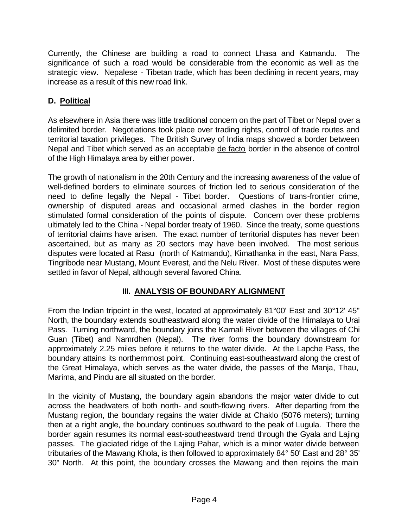Currently, the Chinese are building a road to connect Lhasa and Katmandu. The significance of such a road would be considerable from the economic as well as the strategic view. Nepalese - Tibetan trade, which has been declining in recent years, may increase as a result of this new road link.

# **D. Political**

As elsewhere in Asia there was little traditional concern on the part of Tibet or Nepal over a delimited border. Negotiations took place over trading rights, control of trade routes and territorial taxation privileges. The British Survey of India maps showed a border between Nepal and Tibet which served as an acceptable de facto border in the absence of control of the High Himalaya area by either power.

The growth of nationalism in the 20th Century and the increasing awareness of the value of well-defined borders to eliminate sources of friction led to serious consideration of the need to define legally the Nepal - Tibet border. Questions of trans-frontier crime, ownership of disputed areas and occasional armed clashes in the border region stimulated formal consideration of the points of dispute. Concern over these problems ultimately led to the China - Nepal border treaty of 1960. Since the treaty, some questions of territorial claims have arisen. The exact number of territorial disputes has never been ascertained, but as many as 20 sectors may have been involved. The most serious disputes were located at Rasu (north of Katmandu), Kimathanka in the east, Nara Pass, Tingribode near Mustang, Mount Everest, and the Nelu River. Most of these disputes were settled in favor of Nepal, although several favored China.

# **III. ANALYSIS OF BOUNDARY ALIGNMENT**

From the Indian tripoint in the west, located at approximately 81°00' East and 30°12' 45" North, the boundary extends southeastward along the water divide of the Himalaya to Urai Pass. Turning northward, the boundary joins the Karnali River between the villages of Chi Guan (Tibet) and Namrdhen (Nepal). The river forms the boundary downstream for approximately 2.25 miles before it returns to the water divide. At the Lapche Pass, the boundary attains its northernmost point. Continuing east-southeastward along the crest of the Great Himalaya, which serves as the water divide, the passes of the Manja, Thau, Marima, and Pindu are all situated on the border.

In the vicinity of Mustang, the boundary again abandons the major water divide to cut across the headwaters of both north- and south-flowing rivers. After departing from the Mustang region, the boundary regains the water divide at Chaklo (5076 meters); turning then at a right angle, the boundary continues southward to the peak of Lugula. There the border again resumes its normal east-southeastward trend through the Gyala and Lajing passes. The glaciated ridge of the Lajing Pahar, which is a minor water divide between tributaries of the Mawang Khola, is then followed to approximately 84° 50' East and 28° 35' 30" North. At this point, the boundary crosses the Mawang and then rejoins the main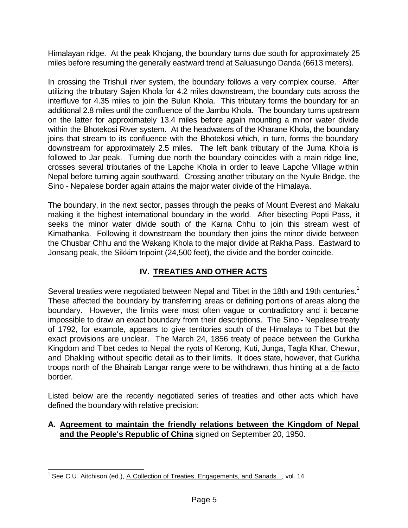Himalayan ridge. At the peak Khojang, the boundary turns due south for approximately 25 miles before resuming the generally eastward trend at Saluasungo Danda (6613 meters).

In crossing the Trishuli river system, the boundary follows a very complex course. After utilizing the tributary Sajen Khola for 4.2 miles downstream, the boundary cuts across the interfluve for 4.35 miles to join the Bulun Khola. This tributary forms the boundary for an additional 2.8 miles until the confluence of the Jambu Khola. The boundary turns upstream on the latter for approximately 13.4 miles before again mounting a minor water divide within the Bhotekosi River system. At the headwaters of the Kharane Khola, the boundary joins that stream to its confluence with the Bhotekosi which, in turn, forms the boundary downstream for approximately 2.5 miles. The left bank tributary of the Juma Khola is followed to Jar peak. Turning due north the boundary coincides with a main ridge line, crosses several tributaries of the Lapche Khola in order to leave Lapche Village within Nepal before turning again southward. Crossing another tributary on the Nyule Bridge, the Sino - Nepalese border again attains the major water divide of the Himalaya.

The boundary, in the next sector, passes through the peaks of Mount Everest and Makalu making it the highest international boundary in the world. After bisecting Popti Pass, it seeks the minor water divide south of the Karna Chhu to join this stream west of Kimathanka. Following it downstream the boundary then joins the minor divide between the Chusbar Chhu and the Wakang Khola to the major divide at Rakha Pass. Eastward to Jonsang peak, the Sikkim tripoint (24,500 feet), the divide and the border coincide.

# **IV. TREATIES AND OTHER ACTS**

Several treaties were negotiated between Nepal and Tibet in the 18th and 19th centuries.<sup>1</sup> These affected the boundary by transferring areas or defining portions of areas along the boundary. However, the limits were most often vague or contradictory and it became impossible to draw an exact boundary from their descriptions. The Sino - Nepalese treaty of 1792, for example, appears to give territories south of the Himalaya to Tibet but the exact provisions are unclear. The March 24, 1856 treaty of peace between the Gurkha Kingdom and Tibet cedes to Nepal the ryots of Kerong, Kuti, Junga, Tagla Khar, Chewur, and Dhakling without specific detail as to their limits. It does state, however, that Gurkha troops north of the Bhairab Langar range were to be withdrawn, thus hinting at a de facto border.

Listed below are the recently negotiated series of treaties and other acts which have defined the boundary with relative precision:

#### **A. Agreement to maintain the friendly relations between the Kingdom of Nepal and the People's Republic of China** signed on September 20, 1950.

l

<sup>&</sup>lt;sup>1</sup> See C.U. Aitchison (ed.), A Collection of Treaties, Engagements, and Sanads..., vol. 14.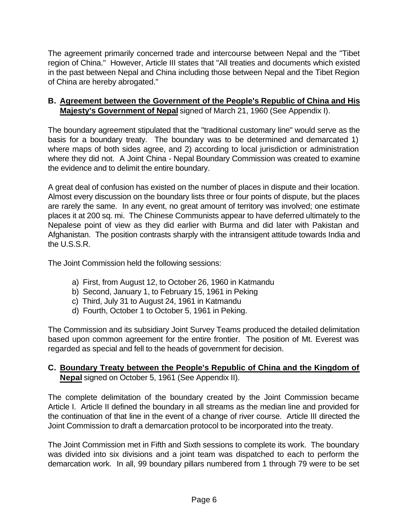The agreement primarily concerned trade and intercourse between Nepal and the "Tibet region of China." However, Article III states that "All treaties and documents which existed in the past between Nepal and China including those between Nepal and the Tibet Region of China are hereby abrogated."

### **B. Agreement between the Government of the People's Republic of China and His Majesty's Government of Nepal** signed of March 21, 1960 (See Appendix I).

The boundary agreement stipulated that the "traditional customary line" would serve as the basis for a boundary treaty. The boundary was to be determined and demarcated 1) where maps of both sides agree, and 2) according to local jurisdiction or administration where they did not. A Joint China - Nepal Boundary Commission was created to examine the evidence and to delimit the entire boundary.

A great deal of confusion has existed on the number of places in dispute and their location. Almost every discussion on the boundary lists three or four points of dispute, but the places are rarely the same. In any event, no great amount of territory was involved; one estimate places it at 200 sq. mi. The Chinese Communists appear to have deferred ultimately to the Nepalese point of view as they did earlier with Burma and did later with Pakistan and Afghanistan. The position contrasts sharply with the intransigent attitude towards India and the U.S.S.R.

The Joint Commission held the following sessions:

- a) First, from August 12, to October 26, 1960 in Katmandu
- b) Second, January 1, to February 15, 1961 in Peking
- c) Third, July 31 to August 24, 1961 in Katmandu
- d) Fourth, October 1 to October 5, 1961 in Peking.

The Commission and its subsidiary Joint Survey Teams produced the detailed delimitation based upon common agreement for the entire frontier. The position of Mt. Everest was regarded as special and fell to the heads of government for decision.

### **C. Boundary Treaty between the People's Republic of China and the Kingdom of Nepal** signed on October 5, 1961 (See Appendix II).

The complete delimitation of the boundary created by the Joint Commission became Article I. Article II defined the boundary in all streams as the median line and provided for the continuation of that line in the event of a change of river course. Article III directed the Joint Commission to draft a demarcation protocol to be incorporated into the treaty.

The Joint Commission met in Fifth and Sixth sessions to complete its work. The boundary was divided into six divisions and a joint team was dispatched to each to perform the demarcation work. In all, 99 boundary pillars numbered from 1 through 79 were to be set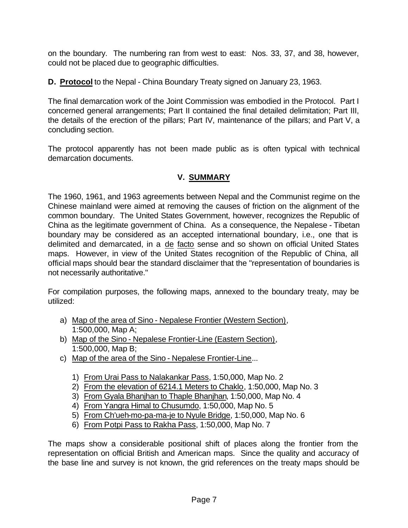on the boundary. The numbering ran from west to east: Nos. 33, 37, and 38, however, could not be placed due to geographic difficulties.

**D. Protocol** to the Nepal - China Boundary Treaty signed on January 23, 1963.

The final demarcation work of the Joint Commission was embodied in the Protocol. Part I concerned general arrangements; Part II contained the final detailed delimitation; Part III, the details of the erection of the pillars; Part IV, maintenance of the pillars; and Part V, a concluding section.

The protocol apparently has not been made public as is often typical with technical demarcation documents.

# **V. SUMMARY**

The 1960, 1961, and 1963 agreements between Nepal and the Communist regime on the Chinese mainland were aimed at removing the causes of friction on the alignment of the common boundary. The United States Government, however, recognizes the Republic of China as the legitimate government of China. As a consequence, the Nepalese - Tibetan boundary may be considered as an accepted international boundary, i.e., one that is delimited and demarcated, in a de facto sense and so shown on official United States maps. However, in view of the United States recognition of the Republic of China, all official maps should bear the standard disclaimer that the "representation of boundaries is not necessarily authoritative."

For compilation purposes, the following maps, annexed to the boundary treaty, may be utilized:

- a) Map of the area of Sino Nepalese Frontier (Western Section), 1:500,000, Map A;
- b) Map of the Sino Nepalese Frontier-Line (Eastern Section), 1:500,000, Map B;
- c) Map of the area of the Sino Nepalese Frontier-Line...
	- 1) From Urai Pass to Nalakankar Pass, 1:50,000, Map No. 2
	- 2) From the elevation of 6214.1 Meters to Chaklo, 1:50,000, Map No. 3
	- 3) From Gyala Bhanjhan to Thaple Bhanjhan, 1:50,000, Map No. 4
	- 4) From Yangra Himal to Chusumdo, 1:50,000, Map No. 5
	- 5) From Ch'ueh-mo-pa-ma-je to Nyule Bridge, 1:50,000, Map No. 6
	- 6) From Potpi Pass to Rakha Pass, 1:50,000, Map No. 7

The maps show a considerable positional shift of places along the frontier from the representation on official British and American maps. Since the quality and accuracy of the base line and survey is not known, the grid references on the treaty maps should be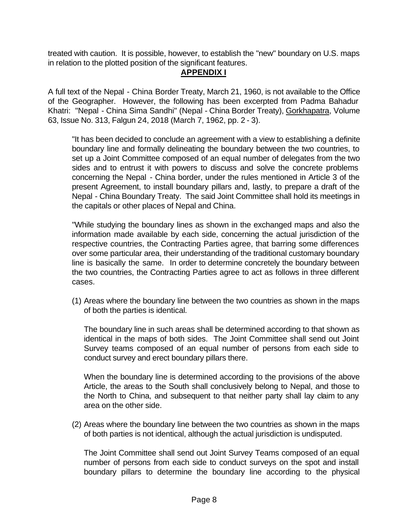treated with caution. It is possible, however, to establish the "new" boundary on U.S. maps in relation to the plotted position of the significant features.

#### **APPENDIX I**

A full text of the Nepal - China Border Treaty, March 21, 1960, is not available to the Office of the Geographer. However, the following has been excerpted from Padma Bahadur Khatri: "Nepal - China Sima Sandhi" (Nepal - China Border Treaty), Gorkhapatra, Volume 63, Issue No. 313, Falgun 24, 2018 (March 7, 1962, pp. 2 - 3).

"It has been decided to conclude an agreement with a view to establishing a definite boundary line and formally delineating the boundary between the two countries, to set up a Joint Committee composed of an equal number of delegates from the two sides and to entrust it with powers to discuss and solve the concrete problems concerning the Nepal - China border, under the rules mentioned in Article 3 of the present Agreement, to install boundary pillars and, lastly, to prepare a draft of the Nepal - China Boundary Treaty. The said Joint Committee shall hold its meetings in the capitals or other places of Nepal and China.

"While studying the boundary lines as shown in the exchanged maps and also the information made available by each side, concerning the actual jurisdiction of the respective countries, the Contracting Parties agree, that barring some differences over some particular area, their understanding of the traditional customary boundary line is basically the same. In order to determine concretely the boundary between the two countries, the Contracting Parties agree to act as follows in three different cases.

(1) Areas where the boundary line between the two countries as shown in the maps of both the parties is identical.

The boundary line in such areas shall be determined according to that shown as identical in the maps of both sides. The Joint Committee shall send out Joint Survey teams composed of an equal number of persons from each side to conduct survey and erect boundary pillars there.

When the boundary line is determined according to the provisions of the above Article, the areas to the South shall conclusively belong to Nepal, and those to the North to China, and subsequent to that neither party shall lay claim to any area on the other side.

(2) Areas where the boundary line between the two countries as shown in the maps of both parties is not identical, although the actual jurisdiction is undisputed.

The Joint Committee shall send out Joint Survey Teams composed of an equal number of persons from each side to conduct surveys on the spot and install boundary pillars to determine the boundary line according to the physical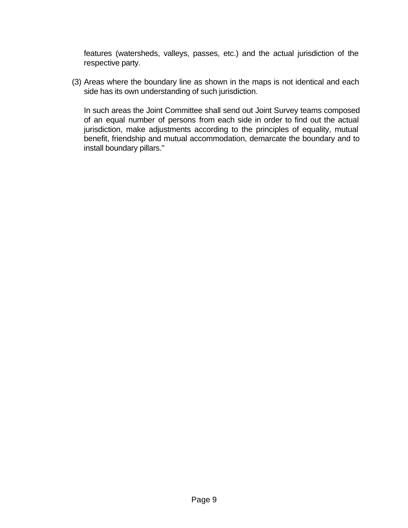features (watersheds, valleys, passes, etc.) and the actual jurisdiction of the respective party.

(3) Areas where the boundary line as shown in the maps is not identical and each side has its own understanding of such jurisdiction.

In such areas the Joint Committee shall send out Joint Survey teams composed of an equal number of persons from each side in order to find out the actual jurisdiction, make adjustments according to the principles of equality, mutual benefit, friendship and mutual accommodation, demarcate the boundary and to install boundary pillars."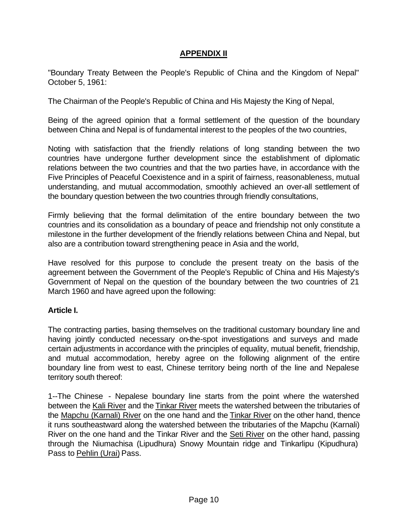#### **APPENDIX II**

"Boundary Treaty Between the People's Republic of China and the Kingdom of Nepal" October 5, 1961:

The Chairman of the People's Republic of China and His Majesty the King of Nepal,

Being of the agreed opinion that a formal settlement of the question of the boundary between China and Nepal is of fundamental interest to the peoples of the two countries,

Noting with satisfaction that the friendly relations of long standing between the two countries have undergone further development since the establishment of diplomatic relations between the two countries and that the two parties have, in accordance with the Five Principles of Peaceful Coexistence and in a spirit of fairness, reasonableness, mutual understanding, and mutual accommodation, smoothly achieved an over-all settlement of the boundary question between the two countries through friendly consultations,

Firmly believing that the formal delimitation of the entire boundary between the two countries and its consolidation as a boundary of peace and friendship not only constitute a milestone in the further development of the friendly relations between China and Nepal, but also are a contribution toward strengthening peace in Asia and the world,

Have resolved for this purpose to conclude the present treaty on the basis of the agreement between the Government of the People's Republic of China and His Majesty's Government of Nepal on the question of the boundary between the two countries of 21 March 1960 and have agreed upon the following:

#### **Article I.**

The contracting parties, basing themselves on the traditional customary boundary line and having jointly conducted necessary on-the-spot investigations and surveys and made certain adjustments in accordance with the principles of equality, mutual benefit, friendship, and mutual accommodation, hereby agree on the following alignment of the entire boundary line from west to east, Chinese territory being north of the line and Nepalese territory south thereof:

1--The Chinese - Nepalese boundary line starts from the point where the watershed between the Kali River and the Tinkar River meets the watershed between the tributaries of the Mapchu (Karnali) River on the one hand and the Tinkar River on the other hand, thence it runs southeastward along the watershed between the tributaries of the Mapchu (Karnali) River on the one hand and the Tinkar River and the Seti River on the other hand, passing through the Niumachisa (Lipudhura) Snowy Mountain ridge and Tinkarlipu (Kipudhura) Pass to Pehlin (Urai) Pass.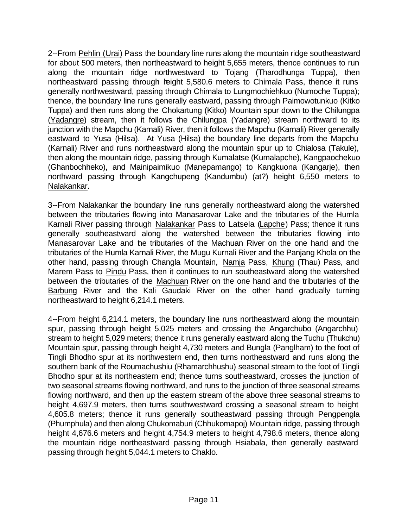2--From Pehlin (Urai) Pass the boundary line runs along the mountain ridge southeastward for about 500 meters, then northeastward to height 5,655 meters, thence continues to run along the mountain ridge northwestward to Tojang (Tharodhunga Tuppa), then northeastward passing through height 5,580.6 meters to Chimala Pass, thence it runs generally northwestward, passing through Chimala to Lungmochiehkuo (Numoche Tuppa); thence, the boundary line runs generally eastward, passing through Paimowotunkuo (Kitko Tuppa) and then runs along the Chokartung (Kitko) Mountain spur down to the Chilungpa (Yadangre) stream, then it follows the Chilungpa (Yadangre) stream northward to its junction with the Mapchu (Karnali) River, then it follows the Mapchu (Karnali) River generally eastward to Yusa (Hilsa). At Yusa (Hilsa) the boundary line departs from the Mapchu (Karnali) River and runs northeastward along the mountain spur up to Chialosa (Takule), then along the mountain ridge, passing through Kumalatse (Kumalapche), Kangpaochekuo (Ghanbochheko), and Mainipaimikuo (Manepamango) to Kangkuona (Kangarje), then northward passing through Kangchupeng (Kandumbu) (at?) height 6,550 meters to Nalakankar.

3--From Nalakankar the boundary line runs generally northeastward along the watershed between the tributaries flowing into Manasarovar Lake and the tributaries of the Humla Karnali River passing through Nalakankar Pass to Latsela (Lapche) Pass; thence it runs generally southeastward along the watershed between the tributaries flowing into Manasarovar Lake and the tributaries of the Machuan River on the one hand and the tributaries of the Humla Karnali River, the Mugu Kurnali River and the Panjang Khola on the other hand, passing through Changla Mountain, Namja Pass, Khung (Thau) Pass, and Marem Pass to Pindu Pass, then it continues to run southeastward along the watershed between the tributaries of the Machuan River on the one hand and the tributaries of the Barbung River and the Kali Gaudaki River on the other hand gradually turning northeastward to height 6,214.1 meters.

4--From height 6,214.1 meters, the boundary line runs northeastward along the mountain spur, passing through height 5,025 meters and crossing the Angarchubo (Angarchhu) stream to height 5,029 meters; thence it runs generally eastward along the Tuchu (Thukchu) Mountain spur, passing through height 4,730 meters and Bungla (Panglham) to the foot of Tingli Bhodho spur at its northwestern end, then turns northeastward and runs along the southern bank of the Roumachushiu (Rhamarchhushu) seasonal stream to the foot of Tingli Bhodho spur at its northeastern end; thence turns southeastward, crosses the junction of two seasonal streams flowing northward, and runs to the junction of three seasonal streams flowing northward, and then up the eastern stream of the above three seasonal streams to height 4,697.9 meters, then turns southwestward crossing a seasonal stream to height 4,605.8 meters; thence it runs generally southeastward passing through Pengpengla (Phumphula) and then along Chukomaburi (Chhukomapoj) Mountain ridge, passing through height 4,676.6 meters and height 4,754.9 meters to height 4,798.6 meters, thence along the mountain ridge northeastward passing through Hsiabala, then generally eastward passing through height 5,044.1 meters to Chaklo.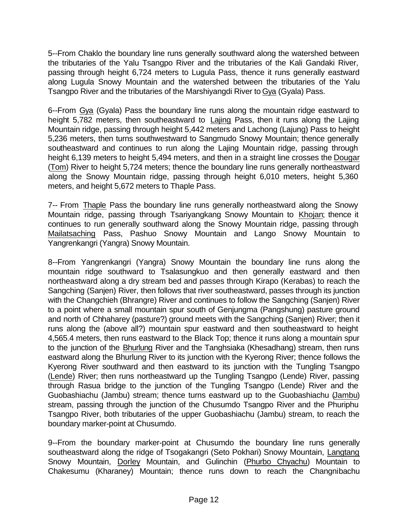5--From Chaklo the boundary line runs generally southward along the watershed between the tributaries of the Yalu Tsangpo River and the tributaries of the Kali Gandaki River, passing through height 6,724 meters to Lugula Pass, thence it runs generally eastward along Lugula Snowy Mountain and the watershed between the tributaries of the Yalu Tsangpo River and the tributaries of the Marshiyangdi River to Gya (Gyala) Pass.

6--From Gya (Gyala) Pass the boundary line runs along the mountain ridge eastward to height 5,782 meters, then southeastward to Lajing Pass, then it runs along the Lajing Mountain ridge, passing through height 5,442 meters and Lachong (Lajung) Pass to height 5,236 meters, then turns southwestward to Sangmudo Snowy Mountain; thence generally southeastward and continues to run along the Lajing Mountain ridge, passing through height 6,139 meters to height 5,494 meters, and then in a straight line crosses the Dougar (Tom) River to height 5,724 meters; thence the boundary line runs generally northeastward along the Snowy Mountain ridge, passing through height 6,010 meters, height 5,360 meters, and height 5,672 meters to Thaple Pass.

7-- From Thaple Pass the boundary line runs generally northeastward along the Snowy Mountain ridge, passing through Tsariyangkang Snowy Mountain to Khojan; thence it continues to run generally southward along the Snowy Mountain ridge, passing through Mailatsaching Pass, Pashuo Snowy Mountain and Lango Snowy Mountain to Yangrenkangri (Yangra) Snowy Mountain.

8--From Yangrenkangri (Yangra) Snowy Mountain the boundary line runs along the mountain ridge southward to Tsalasungkuo and then generally eastward and then northeastward along a dry stream bed and passes through Kirapo (Kerabas) to reach the Sangching (Sanjen) River, then follows that river southeastward, passes through its junction with the Changchieh (Bhrangre) River and continues to follow the Sangching (Sanjen) River to a point where a small mountain spur south of Genjungma (Pangshung) pasture ground and north of Chhaharey (pasture?) ground meets with the Sangching (Sanjen) River; then it runs along the (above all?) mountain spur eastward and then southeastward to height 4,565.4 meters, then runs eastward to the Black Top; thence it runs along a mountain spur to the junction of the Bhurlung River and the Tanghsiaka (Khesadhang) stream, then runs eastward along the Bhurlung River to its junction with the Kyerong River; thence follows the Kyerong River southward and then eastward to its junction with the Tungling Tsangpo (Lende) River; then runs northeastward up the Tungling Tsangpo (Lende) River, passing through Rasua bridge to the junction of the Tungling Tsangpo (Lende) River and the Guobashiachu (Jambu) stream; thence turns eastward up to the Guobashiachu (Jambu) stream, passing through the junction of the Chusumdo Tsangpo River and the Phuriphu Tsangpo River, both tributaries of the upper Guobashiachu (Jambu) stream, to reach the boundary marker-point at Chusumdo.

9--From the boundary marker-point at Chusumdo the boundary line runs generally southeastward along the ridge of Tsogakangri (Seto Pokhari) Snowy Mountain, Langtang Snowy Mountain, Dorley Mountain, and Gulinchin (Phurbo Chyachu) Mountain to Chakesumu (Kharaney) Mountain; thence runs down to reach the Changnibachu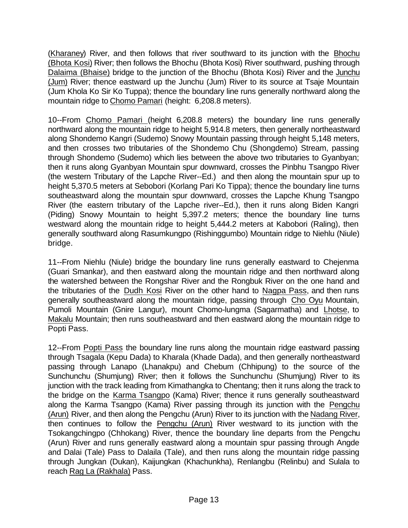(Kharaney) River, and then follows that river southward to its junction with the Bhochu (Bhota Kosi) River; then follows the Bhochu (Bhota Kosi) River southward, pushing through Dalaima (Bhaise) bridge to the junction of the Bhochu (Bhota Kosi) River and the Junchu (Jum) River; thence eastward up the Junchu (Jum) River to its source at Tsaje Mountain (Jum Khola Ko Sir Ko Tuppa); thence the boundary line runs generally northward along the mountain ridge to Chomo Pamari (height: 6,208.8 meters).

10--From Chomo Pamari (height 6,208.8 meters) the boundary line runs generally northward along the mountain ridge to height 5,914.8 meters, then generally northeastward along Shondemo Kangri (Sudemo) Snowy Mountain passing through height 5,148 meters, and then crosses two tributaries of the Shondemo Chu (Shongdemo) Stream, passing through Shondemo (Sudemo) which lies between the above two tributaries to Gyanbyan; then it runs along Gyanbyan Mountain spur downward, crosses the Pinbhu Tsangpo River (the western Tributary of the Lapche River--Ed.) and then along the mountain spur up to height 5,370.5 meters at Sebobori (Korlang Pari Ko Tippa); thence the boundary line turns southeastward along the mountain spur downward, crosses the Lapche Khung Tsangpo River (the eastern tributary of the Lapche river--Ed.), then it runs along Biden Kangri (Piding) Snowy Mountain to height 5,397.2 meters; thence the boundary line turns westward along the mountain ridge to height 5,444.2 meters at Kabobori (Raling), then generally southward along Rasumkungpo (Rishinggumbo) Mountain ridge to Niehlu (Niule) bridge.

11--From Niehlu (Niule) bridge the boundary line runs generally eastward to Chejenma (Guari Smankar), and then eastward along the mountain ridge and then northward along the watershed between the Rongshar River and the Rongbuk River on the one hand and the tributaries of the Dudh Kosi River on the other hand to Nagpa Pass, and then runs generally southeastward along the mountain ridge, passing through Cho Oyu Mountain, Pumoli Mountain (Gnire Langur), mount Chomo-lungma (Sagarmatha) and Lhotse, to Makalu Mountain; then runs southeastward and then eastward along the mountain ridge to Popti Pass.

12--From Popti Pass the boundary line runs along the mountain ridge eastward passing through Tsagala (Kepu Dada) to Kharala (Khade Dada), and then generally northeastward passing through Lanapo (Lhanakpu) and Chebum (Chhipung) to the source of the Sunchunchu (Shumjung) River; then it follows the Sunchunchu (Shumjung) River to its junction with the track leading from Kimathangka to Chentang; then it runs along the track to the bridge on the Karma Tsangpo (Kama) River; thence it runs generally southeastward along the Karma Tsangpo (Kama) River passing through its junction with the Pengchu (Arun) River, and then along the Pengchu (Arun) River to its junction with the Nadang River, then continues to follow the Pengchu (Arun) River westward to its junction with the Tsokangchingpo (Chhokang) River, thence the boundary line departs from the Pengchu (Arun) River and runs generally eastward along a mountain spur passing through Angde and Dalai (Tale) Pass to Dalaila (Tale), and then runs along the mountain ridge passing through Jungkan (Dukan), Kaijungkan (Khachunkha), Renlangbu (Relinbu) and Sulala to reach Rag La (Rakhala) Pass.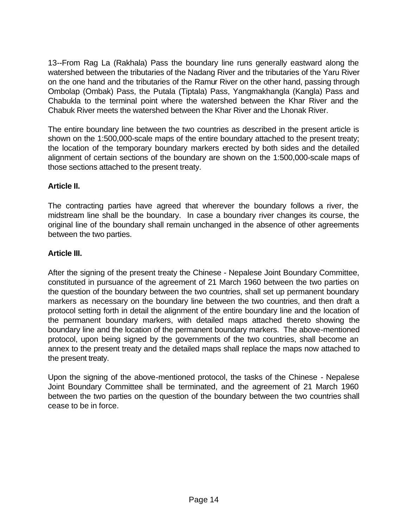13--From Rag La (Rakhala) Pass the boundary line runs generally eastward along the watershed between the tributaries of the Nadang River and the tributaries of the Yaru River on the one hand and the tributaries of the Ramur River on the other hand, passing through Ombolap (Ombak) Pass, the Putala (Tiptala) Pass, Yangmakhangla (Kangla) Pass and Chabukla to the terminal point where the watershed between the Khar River and the Chabuk River meets the watershed between the Khar River and the Lhonak River.

The entire boundary line between the two countries as described in the present article is shown on the 1:500,000-scale maps of the entire boundary attached to the present treaty; the location of the temporary boundary markers erected by both sides and the detailed alignment of certain sections of the boundary are shown on the 1:500,000-scale maps of those sections attached to the present treaty.

### **Article II.**

The contracting parties have agreed that wherever the boundary follows a river, the midstream line shall be the boundary. In case a boundary river changes its course, the original line of the boundary shall remain unchanged in the absence of other agreements between the two parties.

### **Article III.**

After the signing of the present treaty the Chinese - Nepalese Joint Boundary Committee, constituted in pursuance of the agreement of 21 March 1960 between the two parties on the question of the boundary between the two countries, shall set up permanent boundary markers as necessary on the boundary line between the two countries, and then draft a protocol setting forth in detail the alignment of the entire boundary line and the location of the permanent boundary markers, with detailed maps attached thereto showing the boundary line and the location of the permanent boundary markers. The above-mentioned protocol, upon being signed by the governments of the two countries, shall become an annex to the present treaty and the detailed maps shall replace the maps now attached to the present treaty.

Upon the signing of the above-mentioned protocol, the tasks of the Chinese - Nepalese Joint Boundary Committee shall be terminated, and the agreement of 21 March 1960 between the two parties on the question of the boundary between the two countries shall cease to be in force.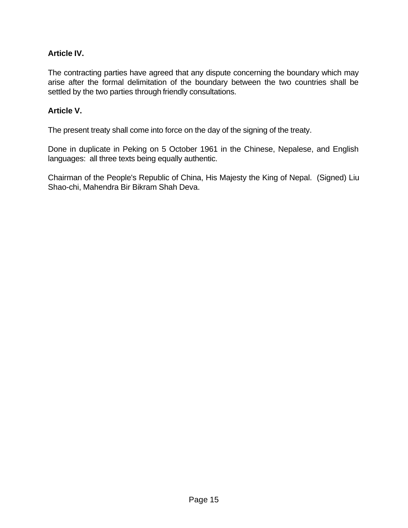### **Article IV.**

The contracting parties have agreed that any dispute concerning the boundary which may arise after the formal delimitation of the boundary between the two countries shall be settled by the two parties through friendly consultations.

#### **Article V.**

The present treaty shall come into force on the day of the signing of the treaty.

Done in duplicate in Peking on 5 October 1961 in the Chinese, Nepalese, and English languages: all three texts being equally authentic.

Chairman of the People's Republic of China, His Majesty the King of Nepal. (Signed) Liu Shao-chi, Mahendra Bir Bikram Shah Deva.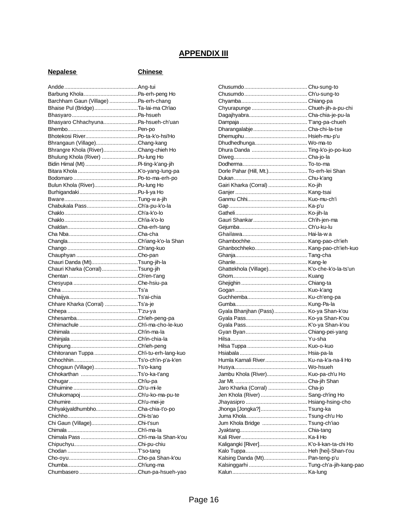# **APPENDIX III**

#### **Nepalese Chinese**

| Barchham Gaun (Village) Pa-erh-chang   |  |
|----------------------------------------|--|
| Bhaise Pul (Bridge)Ta-lai-ma Ch'iao    |  |
|                                        |  |
| Bhasyaro ChhachyunaPa-hsueh-ch'uan     |  |
|                                        |  |
|                                        |  |
| Bhrangaun (Village)Chang-kang          |  |
| Bhrangre Khola (River)Chang-chieh Ho   |  |
|                                        |  |
| Bhulung Khola (River) Pu-lung Ho       |  |
|                                        |  |
|                                        |  |
|                                        |  |
| Bulun Khola (River)Pu-lung Ho          |  |
|                                        |  |
|                                        |  |
|                                        |  |
|                                        |  |
|                                        |  |
|                                        |  |
|                                        |  |
|                                        |  |
|                                        |  |
|                                        |  |
| Chauri Danda (Mt)Tsung-jih-la          |  |
| Chauri Kharka (Corral)Tsung-jih        |  |
|                                        |  |
|                                        |  |
|                                        |  |
|                                        |  |
|                                        |  |
|                                        |  |
| Chhare Kharka (Corral) Ts'a-je         |  |
|                                        |  |
|                                        |  |
|                                        |  |
|                                        |  |
|                                        |  |
|                                        |  |
| Chhitoranan Tuppa Ch'i-tu-erh-lang-kuo |  |
|                                        |  |
|                                        |  |
| Chhogaun (Village)Ts'o-kang            |  |
|                                        |  |
|                                        |  |
|                                        |  |
|                                        |  |
|                                        |  |
| ChhyakjyaldhumbhoCha-chia-t'o-po       |  |
|                                        |  |
| Chi Gaun (Village)Chi-t'sun            |  |
|                                        |  |
|                                        |  |
|                                        |  |
|                                        |  |
|                                        |  |
|                                        |  |
|                                        |  |

| Dhudhedhunga Wo-ma-to                      |              |
|--------------------------------------------|--------------|
|                                            |              |
|                                            |              |
|                                            |              |
| Dorle Pahar (Hill, Mt.) To-erh-lei Shan    |              |
|                                            |              |
| Gairi Kharka (Corral)  Ko-jih              |              |
|                                            |              |
|                                            |              |
|                                            |              |
|                                            |              |
|                                            |              |
|                                            |              |
|                                            |              |
|                                            |              |
|                                            |              |
|                                            |              |
|                                            |              |
|                                            |              |
| Ghattekhola (Village) K'o-che-k'o-la-ts'un |              |
|                                            |              |
|                                            |              |
|                                            |              |
|                                            |              |
|                                            |              |
| Gyala Bhanjhan (Pass) Ko-ya Shan-k'ou      |              |
|                                            |              |
|                                            |              |
|                                            |              |
|                                            |              |
|                                            |              |
|                                            |              |
| Humla Karnali River Ku-na-k'a-na-li Ho     |              |
|                                            |              |
| Jambu Khola (River) Kuo-pa-ch'u Ho         |              |
| Jar Mt. .                                  | Cha-iih Shan |
| Jaro Kharka (Corral)  Cha-jo               |              |
| Jen Khola (River)  Sang-ch'ing Ho          |              |
|                                            |              |
| Jhonga [Jongka?] Tsung-ka                  |              |
|                                            |              |
| Jum Khola Bridge  Tsung-ch'iao             |              |
|                                            |              |
|                                            |              |
| Kaligangki [River] K'o-li-kan-ta-chi Ho    |              |
|                                            |              |
| Kalsing Danda (Mt) Pan-teng-p'u            |              |
|                                            |              |
|                                            |              |
|                                            |              |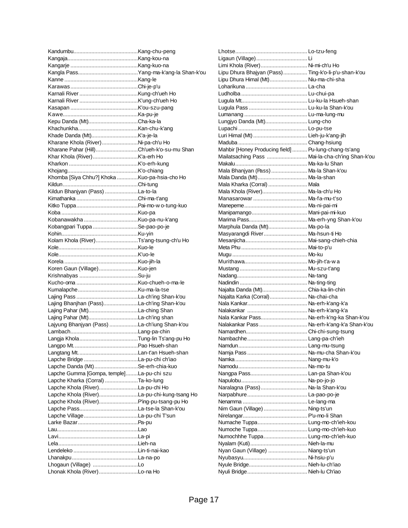| Kepu Danda (Mt)Cha-ka-la                             |  |
|------------------------------------------------------|--|
|                                                      |  |
|                                                      |  |
| Kharane Khola (River) Ni-pa-ch'u Ho                  |  |
| Kharane Pahar (Hill)Ch'ueh-k'o-su-mu Shan            |  |
|                                                      |  |
|                                                      |  |
|                                                      |  |
| Khomba [Siya Chhu?] Khoka Kuo-pa-hsia-cho Ho         |  |
|                                                      |  |
| Kildun Bhanjyan (Pass) La-to-la                      |  |
|                                                      |  |
|                                                      |  |
|                                                      |  |
|                                                      |  |
| Kobangpari Tuppa Se-pao-po-je                        |  |
|                                                      |  |
| Kolam Khola (River)Ts'ang-tsung-ch'u Ho              |  |
|                                                      |  |
|                                                      |  |
|                                                      |  |
| Koren Gaun (Village)Kuo-jen                          |  |
|                                                      |  |
|                                                      |  |
|                                                      |  |
|                                                      |  |
|                                                      |  |
| Lajing Bhanjhan (Pass)La-ch'ing Shan-k'ou            |  |
|                                                      |  |
|                                                      |  |
|                                                      |  |
| Lajyung Bhanjyan (Pass) La-ch'iung Shan-k'ou         |  |
|                                                      |  |
|                                                      |  |
|                                                      |  |
|                                                      |  |
|                                                      |  |
| Lapche Danda (Mt)Se-erh-chia-kuo                     |  |
| Lapche Gumma [Gompa, temple]La-pu-chi szu            |  |
| Lapche Kharka (Corral) Ta-ko-lung                    |  |
| Lapche Khola (River)La-pu-chi Ho                     |  |
| Lapche Khola (River)La-pu-chi-kung-tsang Ho          |  |
| Lapche Khola (River)P'ing-pu-tsang-pu Ho             |  |
|                                                      |  |
|                                                      |  |
|                                                      |  |
|                                                      |  |
|                                                      |  |
|                                                      |  |
|                                                      |  |
|                                                      |  |
| Lhogaun (Village) Lo<br>Lhonak Khola (River)Lo-na Ho |  |

| Limi Khola (River) Ni-mi-ch'u Ho                     |  |
|------------------------------------------------------|--|
| Lipu Dhura Bhajyan (Pass) Ting-k'o-li-p'u-shan-k'ou  |  |
| Lipu Dhura Himal (Mt) Niu-ma-chi-sha                 |  |
|                                                      |  |
|                                                      |  |
|                                                      |  |
|                                                      |  |
|                                                      |  |
| Lungjyo Danda (Mt) Lung-cho                          |  |
|                                                      |  |
|                                                      |  |
|                                                      |  |
| Mahbir [Honey Producing field]  Pu-lung-chang-ts'ang |  |
| Mailatsaching Pass  Mai-la-cha-ch'ing Shan-k'ou      |  |
|                                                      |  |
|                                                      |  |
| Mala Bhanjyan (Pass) Ma-la Shan-k'ou                 |  |
| Mala Danda (Mt) Ma-la-shan                           |  |
| Mala Kharka (Corral)  Mala                           |  |
| Mala Khola (River) Ma-la-ch'u Ho                     |  |
| Manasarowar  Ma-fa-mu-t'so                           |  |
|                                                      |  |
|                                                      |  |
|                                                      |  |
| Marphula Danda (Mt) Ma-po-la                         |  |
| Masyarangdi River Ma-hsun-ti Ho                      |  |
|                                                      |  |
|                                                      |  |
|                                                      |  |
|                                                      |  |
|                                                      |  |
|                                                      |  |
|                                                      |  |
| Najalta Danda (Mt) Chia-ka-lin-chin                  |  |
| Najalta Karka (Corral) Na-chai-cha                   |  |
|                                                      |  |
|                                                      |  |
| Nala Kankar Pass Na-erh-k'ng-ka Shan-k'ou            |  |
| Nalakankar Pass  Na-erh-k'ang-k'a Shan-k'ou          |  |
|                                                      |  |
|                                                      |  |
|                                                      |  |
|                                                      |  |
|                                                      |  |
|                                                      |  |
|                                                      |  |
|                                                      |  |
| Naralagna (Pass) Na-la Shan-k'ou                     |  |
|                                                      |  |
|                                                      |  |
| Nim Gaun (Village)  Ning-ts'un                       |  |
|                                                      |  |
|                                                      |  |
| Numache Tuppa Lung-mo-ch'ieh-kou                     |  |
| Numoche Tuppa Lung-mo-ch'ieh-kuo                     |  |
| Numochhhe Tuppa Lung-mo-ch'ieh-kuo                   |  |
|                                                      |  |
| Nyan Gaun (Village)  Niang-ts'un                     |  |
|                                                      |  |
|                                                      |  |
|                                                      |  |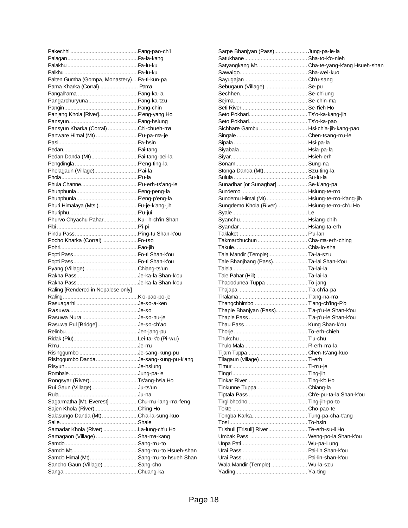| Palten Gumba (Gompa, Monastery)Pa-ti-kun-pa  |  |
|----------------------------------------------|--|
| Pama Kharka (Corral)  Pama                   |  |
|                                              |  |
|                                              |  |
|                                              |  |
| Panjang Khola [River] P'eng-yang Ho          |  |
|                                              |  |
| Pansyun Kharka (Corral) Chi-chueh-ma         |  |
| Panware Himal (Mt) P'u-pa-ma-je              |  |
|                                              |  |
|                                              |  |
| Pedan Danda (Mt)Pai-tang-pei-la              |  |
|                                              |  |
| Phelagaun (Village) P'ai-la                  |  |
|                                              |  |
|                                              |  |
|                                              |  |
|                                              |  |
|                                              |  |
| Phuri Himalaya (Mts.)Pu-je-k'ang-jih         |  |
|                                              |  |
|                                              |  |
|                                              |  |
|                                              |  |
| Pocho Kharka (Corral) Po-tso                 |  |
|                                              |  |
|                                              |  |
|                                              |  |
|                                              |  |
| Pyang (Village) Chiang-ts'un                 |  |
|                                              |  |
|                                              |  |
| Raling [Rendered in Nepalese only]           |  |
|                                              |  |
|                                              |  |
|                                              |  |
|                                              |  |
| Rasuwa Pul [Bridge]Je-so-ch'ao               |  |
|                                              |  |
|                                              |  |
|                                              |  |
|                                              |  |
|                                              |  |
| Risinggumbo DandaJe-sang-kung-pu-k'ang       |  |
|                                              |  |
|                                              |  |
| Rongsyar (River)Ts'ang-hsia Ho               |  |
| Rui Gaun (Village)Ju-ts'un                   |  |
|                                              |  |
| Sagarmatha [Mt. Everest] Chu-mu-lang-ma-feng |  |
| Sajen Khola (River)Ch'ing Ho                 |  |
| Salasungo Danda (Mt)Ch'a-la-sung-kuo         |  |
|                                              |  |
| Samadar Khola (River) La-lung-ch'u Ho        |  |
| Samagaon (Village) Sha-ma-kang               |  |
|                                              |  |
|                                              |  |
| Samdo Himal (Mt)Sang-mu-to-hsueh Shan        |  |
| Sancho Gaun (Village) Sang-cho               |  |

| Sarpe Bhanjyan (Pass) Jung-pa-le-la           |  |
|-----------------------------------------------|--|
|                                               |  |
| Satyangkang Mt.  Cha-te-yang-k'ang Hsueh-shan |  |
|                                               |  |
|                                               |  |
|                                               |  |
| Sebugaun (Village)  Se-pu                     |  |
|                                               |  |
|                                               |  |
|                                               |  |
|                                               |  |
|                                               |  |
| Sichhare Gambu  Hsi-ch'a-jih-kang-pao         |  |
|                                               |  |
|                                               |  |
|                                               |  |
|                                               |  |
|                                               |  |
| Stonga Danda (Mt) Szu-ting-la                 |  |
|                                               |  |
| Sunadhar [or Sunaghar]  Se-k'ang-pa           |  |
|                                               |  |
|                                               |  |
| Sundemu Himal (Mt)  Hsiung-te-mo-k'ang-jih    |  |
| Sungdemo Khola (River)  Hsiung-te-mo-ch'u Ho  |  |
|                                               |  |
|                                               |  |
|                                               |  |
|                                               |  |
| Takmarchuchun  Cha-ma-erh-ching               |  |
|                                               |  |
| Tala Mandir (Temple) Ta-la-szu                |  |
| Tale Bhanjhang (Pass) Ta-lai Shan-k'ou        |  |
|                                               |  |
|                                               |  |
| Thadodunea Tuppa  To-jang                     |  |
|                                               |  |
|                                               |  |
|                                               |  |
| Thaple Bhanjyan (Pass) T'a-p'u-le Shan-k'ou   |  |
|                                               |  |
|                                               |  |
|                                               |  |
|                                               |  |
|                                               |  |
|                                               |  |
|                                               |  |
| Tilagaun (village) Ti-erh                     |  |
|                                               |  |
|                                               |  |
|                                               |  |
| Tinkunne Tuppa Chiang-la                      |  |
|                                               |  |
|                                               |  |
|                                               |  |
|                                               |  |
|                                               |  |
| Trishuli [Trisuli] River Te-erh-su-li Ho      |  |
|                                               |  |
|                                               |  |
|                                               |  |
|                                               |  |
|                                               |  |
| Wala Mandir (Temple)  Wu-la-szu               |  |
|                                               |  |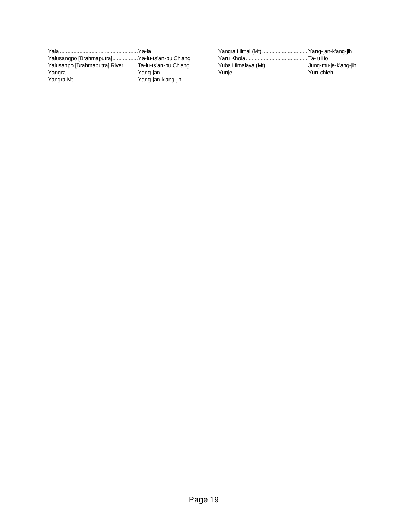| Yalusangpo [Brahmaputra]Ya-lu-ts'an-pu Chiang       |  |
|-----------------------------------------------------|--|
| Yalusanpo [Brahmaputra] River Ta-lu-ts'an-pu Chiang |  |
|                                                     |  |
|                                                     |  |

| Yangra Himal (Mt)  Yang-jan-k'ang-jih   |  |
|-----------------------------------------|--|
|                                         |  |
| Yuba Himalaya (Mt) Jung-mu-je-k'ang-jih |  |
|                                         |  |